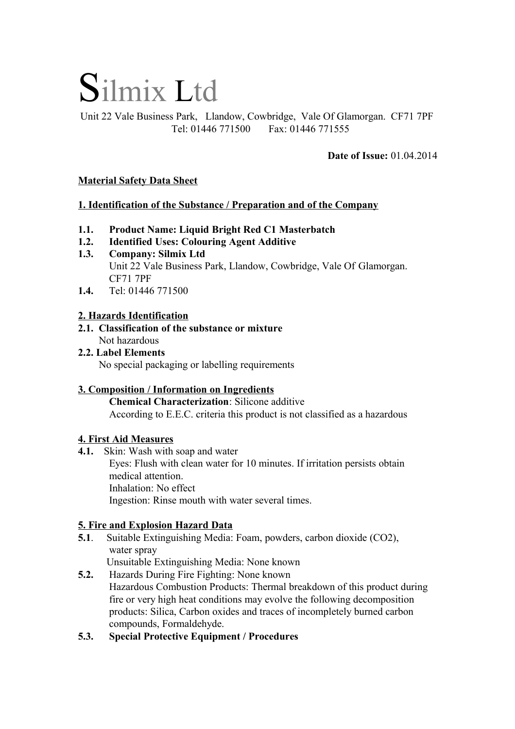# Silmix Ltd

Unit 22 Vale Business Park, Llandow, Cowbridge, Vale Of Glamorgan. CF71 7PF Tel: 01446 771500 Fax: 01446 771555

**Date of Issue:** 01.04.2014

# **Material Safety Data Sheet**

# **1. Identification of the Substance / Preparation and of the Company**

- **1.1. Product Name: Liquid Bright Red C1 Masterbatch**
- **1.2. Identified Uses: Colouring Agent Additive**
- **1.3. Company: Silmix Ltd**  Unit 22 Vale Business Park, Llandow, Cowbridge, Vale Of Glamorgan. CF71 7PF
- **1.4.** Tel: 01446 771500

# **2. Hazards Identification**

- **2.1. Classification of the substance or mixture** Not hazardous
- **2.2. Label Elements** No special packaging or labelling requirements

#### **3. Composition / Information on Ingredients Chemical Characterization**: Silicone additive According to E.E.C. criteria this product is not classified as a hazardous

# **4. First Aid Measures**

**4.1.** Skin: Wash with soap and water

Eyes: Flush with clean water for 10 minutes. If irritation persists obtain medical attention. Inhalation: No effect Ingestion: Rinse mouth with water several times.

# **5. Fire and Explosion Hazard Data**

**5.1**. Suitable Extinguishing Media: Foam, powders, carbon dioxide (CO2), water spray

Unsuitable Extinguishing Media: None known

- **5.2.** Hazards During Fire Fighting: None known Hazardous Combustion Products: Thermal breakdown of this product during fire or very high heat conditions may evolve the following decomposition products: Silica, Carbon oxides and traces of incompletely burned carbon compounds, Formaldehyde.
- **5.3. Special Protective Equipment / Procedures**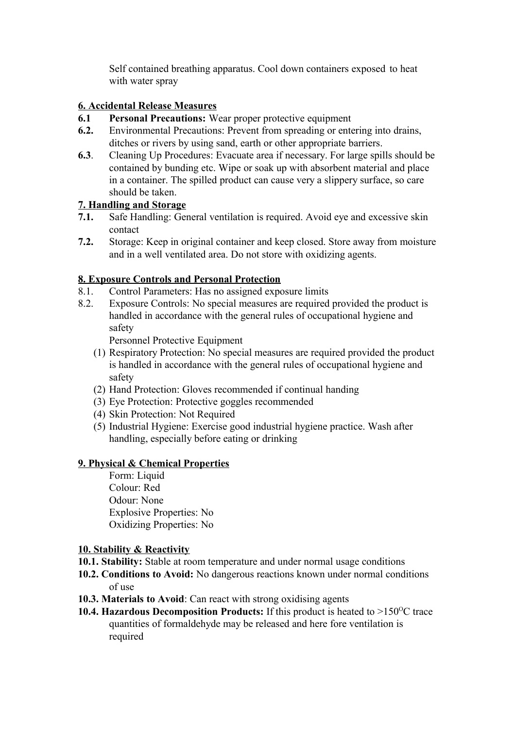Self contained breathing apparatus. Cool down containers exposed to heat with water spray

# **6. Accidental Release Measures**

- **6.1 Personal Precautions:** Wear proper protective equipment
- **6.2.** Environmental Precautions: Prevent from spreading or entering into drains, ditches or rivers by using sand, earth or other appropriate barriers.
- **6.3**. Cleaning Up Procedures: Evacuate area if necessary. For large spills should be contained by bunding etc. Wipe or soak up with absorbent material and place in a container. The spilled product can cause very a slippery surface, so care should be taken.

# **7. Handling and Storage**

- **7.1.** Safe Handling: General ventilation is required. Avoid eye and excessive skin contact
- **7.2.** Storage: Keep in original container and keep closed. Store away from moisture and in a well ventilated area. Do not store with oxidizing agents.

# **8. Exposure Controls and Personal Protection**

- 8.1. Control Parameters: Has no assigned exposure limits
- 8.2. Exposure Controls: No special measures are required provided the product is handled in accordance with the general rules of occupational hygiene and safety

Personnel Protective Equipment

- (1) Respiratory Protection: No special measures are required provided the product is handled in accordance with the general rules of occupational hygiene and safety
- (2) Hand Protection: Gloves recommended if continual handing
- (3) Eye Protection: Protective goggles recommended
- (4) Skin Protection: Not Required
- (5) Industrial Hygiene: Exercise good industrial hygiene practice. Wash after handling, especially before eating or drinking

# **9. Physical & Chemical Properties**

Form: Liquid Colour: Red Odour: None Explosive Properties: No Oxidizing Properties: No

# **10. Stability & Reactivity**

- **10.1. Stability:** Stable at room temperature and under normal usage conditions
- **10.2. Conditions to Avoid:** No dangerous reactions known under normal conditions of use
- **10.3. Materials to Avoid**: Can react with strong oxidising agents
- **10.4. Hazardous Decomposition Products:** If this product is heated to  $>150^{\circ}$ C trace quantities of formaldehyde may be released and here fore ventilation is required